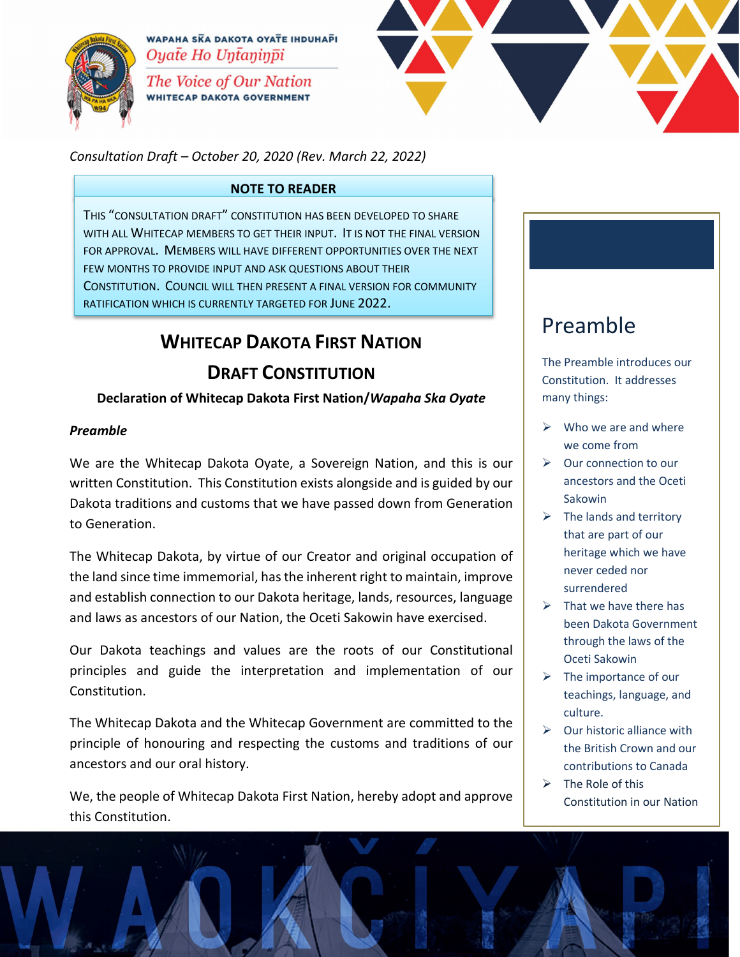

WAPAHA SKA DAKOTA OYATE IHDUHAPI Oyate Ho Untaninpi

The Voice of Our Nation **WHITECAP DAKOTA GOVERNMENT** 



*Consultation Draft – October 20, 2020 (Rev. March 22, 2022)*

#### **NOTE TO READER**

THIS "CONSULTATION DRAFT" CONSTITUTION HAS BEEN DEVELOPED TO SHARE WITH ALL WHITECAP MEMBERS TO GET THEIR INPUT. IT IS NOT THE FINAL VERSION FOR APPROVAL. MEMBERS WILL HAVE DIFFERENT OPPORTUNITIES OVER THE NEXT FEW MONTHS TO PROVIDE INPUT AND ASK QUESTIONS ABOUT THEIR CONSTITUTION. COUNCIL WILL THEN PRESENT A FINAL VERSION FOR COMMUNITY RATIFICATION WHICH IS CURRENTLY TARGETED FOR JUNE 2022.

# **WHITECAP DAKOTA FIRST NATION**

## **DRAFT CONSTITUTION**

#### **Declaration of Whitecap Dakota First Nation/***Wapaha Ska Oyate*

#### *Preamble*

We are the Whitecap Dakota Oyate, a Sovereign Nation, and this is our written Constitution. This Constitution exists alongside and is guided by our Dakota traditions and customs that we have passed down from Generation to Generation.

The Whitecap Dakota, by virtue of our Creator and original occupation of the land since time immemorial, has the inherent right to maintain, improve and establish connection to our Dakota heritage, lands, resources, language and laws as ancestors of our Nation, the Oceti Sakowin have exercised.

Our Dakota teachings and values are the roots of our Constitutional principles and guide the interpretation and implementation of our Constitution.

The Whitecap Dakota and the Whitecap Government are committed to the principle of honouring and respecting the customs and traditions of our ancestors and our oral history.

We, the people of Whitecap Dakota First Nation, hereby adopt and approve this Constitution.

## Preamble

The Preamble introduces our Constitution. It addresses many things:

- $\triangleright$  Who we are and where we come from
- $\triangleright$  Our connection to our ancestors and the Oceti Sakowin
- $\triangleright$  The lands and territory that are part of our heritage which we have never ceded nor surrendered
- $\triangleright$  That we have there has been Dakota Government through the laws of the Oceti Sakowin
- $\triangleright$  The importance of our teachings, language, and culture.
- $\triangleright$  Our historic alliance with the British Crown and our contributions to Canada
- $\triangleright$  The Role of this Constitution in our Nation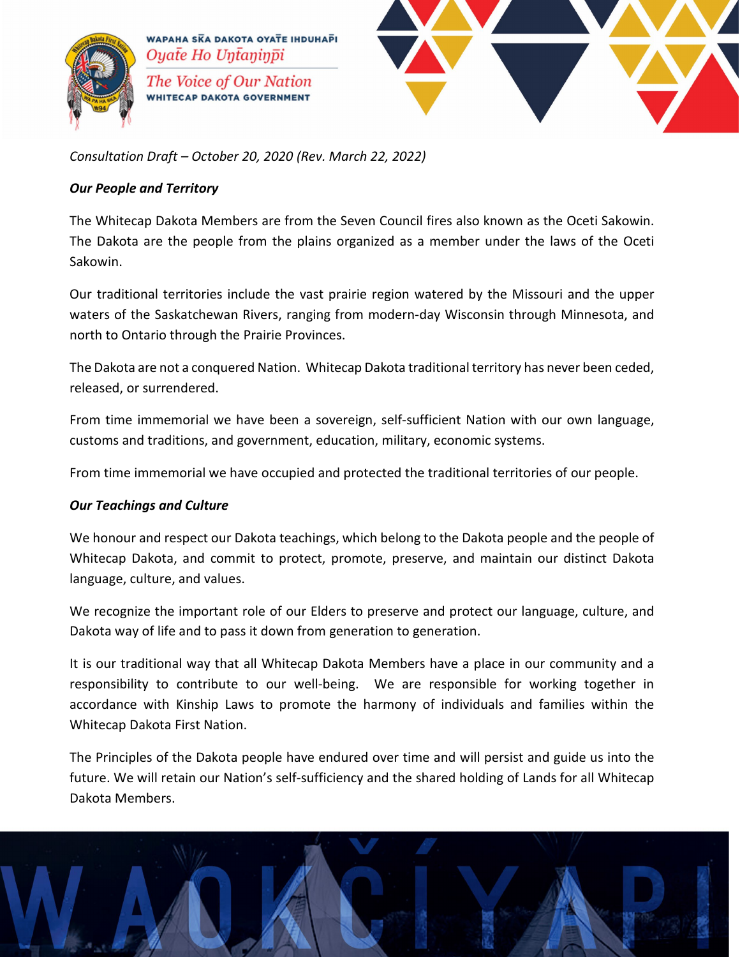



*Consultation Draft – October 20, 2020 (Rev. March 22, 2022)*

#### *Our People and Territory*

The Whitecap Dakota Members are from the Seven Council fires also known as the Oceti Sakowin. The Dakota are the people from the plains organized as a member under the laws of the Oceti Sakowin.

Our traditional territories include the vast prairie region watered by the Missouri and the upper waters of the Saskatchewan Rivers, ranging from modern-day Wisconsin through Minnesota, and north to Ontario through the Prairie Provinces.

The Dakota are not a conquered Nation. Whitecap Dakota traditional territory has never been ceded, released, or surrendered.

From time immemorial we have been a sovereign, self-sufficient Nation with our own language, customs and traditions, and government, education, military, economic systems.

From time immemorial we have occupied and protected the traditional territories of our people.

#### *Our Teachings and Culture*

We honour and respect our Dakota teachings, which belong to the Dakota people and the people of Whitecap Dakota, and commit to protect, promote, preserve, and maintain our distinct Dakota language, culture, and values.

We recognize the important role of our Elders to preserve and protect our language, culture, and Dakota way of life and to pass it down from generation to generation.

It is our traditional way that all Whitecap Dakota Members have a place in our community and a responsibility to contribute to our well-being. We are responsible for working together in accordance with Kinship Laws to promote the harmony of individuals and families within the Whitecap Dakota First Nation.

The Principles of the Dakota people have endured over time and will persist and guide us into the future. We will retain our Nation's self-sufficiency and the shared holding of Lands for all Whitecap Dakota Members.

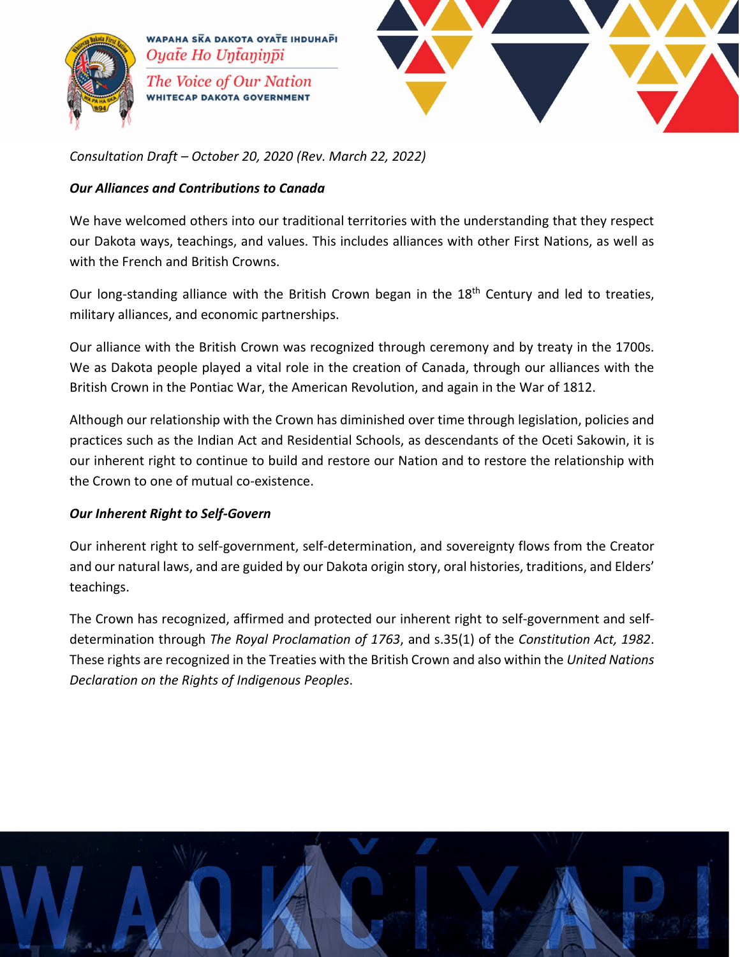



*Consultation Draft – October 20, 2020 (Rev. March 22, 2022)*

#### *Our Alliances and Contributions to Canada*

We have welcomed others into our traditional territories with the understanding that they respect our Dakota ways, teachings, and values. This includes alliances with other First Nations, as well as with the French and British Crowns.

Our long-standing alliance with the British Crown began in the 18<sup>th</sup> Century and led to treaties, military alliances, and economic partnerships.

Our alliance with the British Crown was recognized through ceremony and by treaty in the 1700s. We as Dakota people played a vital role in the creation of Canada, through our alliances with the British Crown in the Pontiac War, the American Revolution, and again in the War of 1812.

Although our relationship with the Crown has diminished over time through legislation, policies and practices such as the Indian Act and Residential Schools, as descendants of the Oceti Sakowin, it is our inherent right to continue to build and restore our Nation and to restore the relationship with the Crown to one of mutual co-existence.

#### *Our Inherent Right to Self-Govern*

Our inherent right to self-government, self-determination, and sovereignty flows from the Creator and our natural laws, and are guided by our Dakota origin story, oral histories, traditions, and Elders' teachings.

The Crown has recognized, affirmed and protected our inherent right to self-government and selfdetermination through *The Royal Proclamation of 1763*, and s.35(1) of the *Constitution Act, 1982*. These rights are recognized in the Treaties with the British Crown and also within the *United Nations Declaration on the Rights of Indigenous Peoples*.

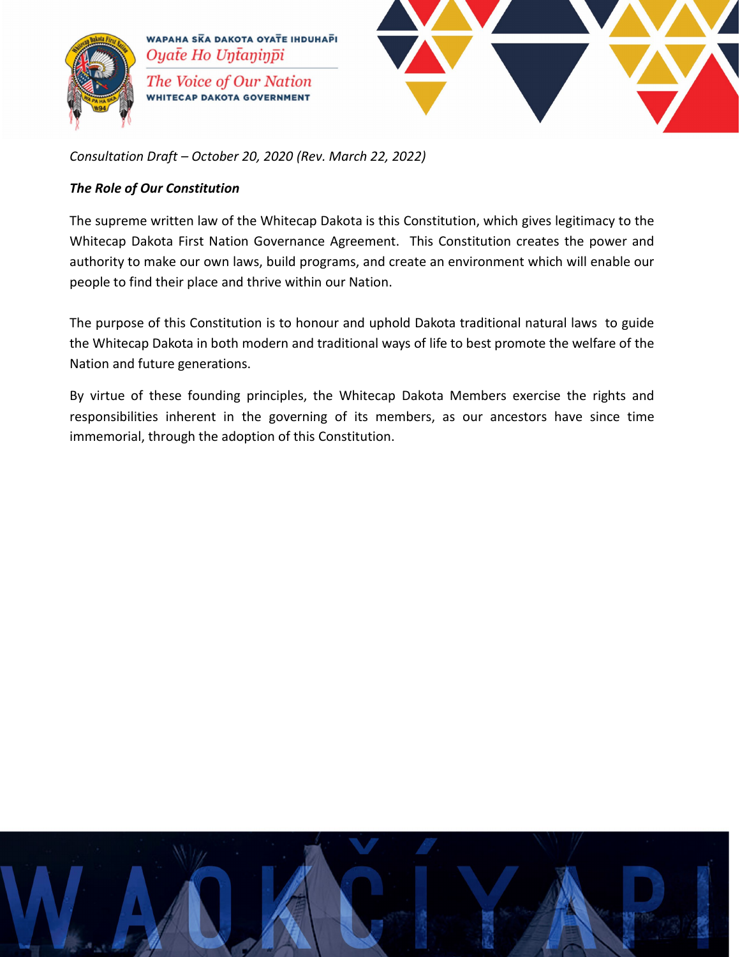



*Consultation Draft – October 20, 2020 (Rev. March 22, 2022)*

#### *The Role of Our Constitution*

The supreme written law of the Whitecap Dakota is this Constitution, which gives legitimacy to the Whitecap Dakota First Nation Governance Agreement. This Constitution creates the power and authority to make our own laws, build programs, and create an environment which will enable our people to find their place and thrive within our Nation.

The purpose of this Constitution is to honour and uphold Dakota traditional natural laws to guide the Whitecap Dakota in both modern and traditional ways of life to best promote the welfare of the Nation and future generations.

By virtue of these founding principles, the Whitecap Dakota Members exercise the rights and responsibilities inherent in the governing of its members, as our ancestors have since time immemorial, through the adoption of this Constitution.

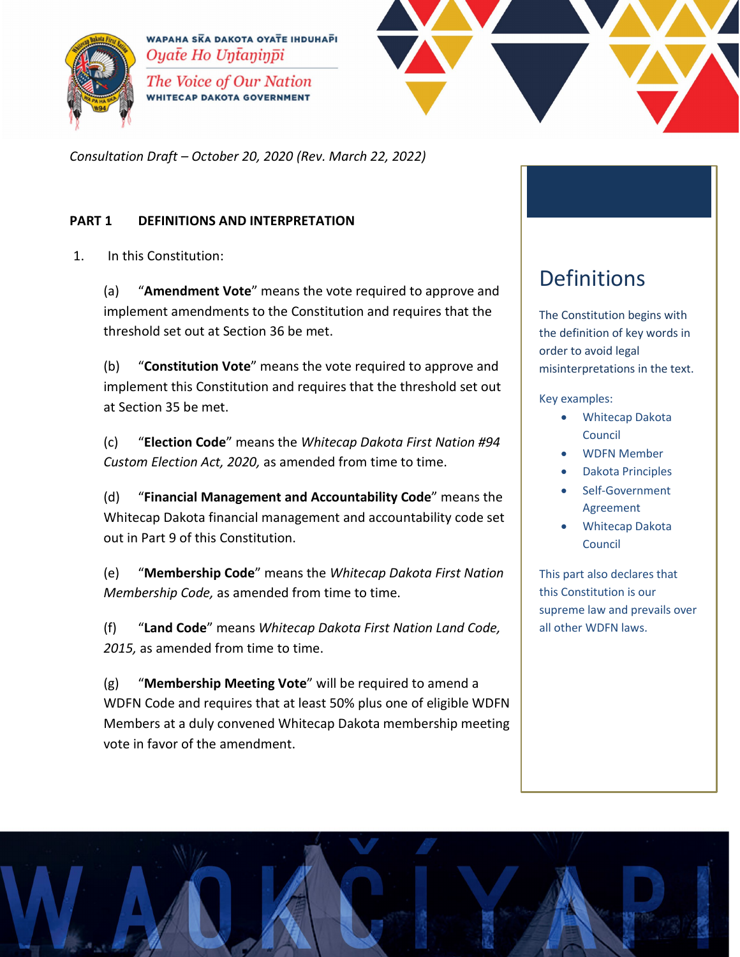



*Consultation Draft – October 20, 2020 (Rev. March 22, 2022)*

#### **PART 1 DEFINITIONS AND INTERPRETATION**

1. In this Constitution:

(a) "**Amendment Vote**" means the vote required to approve and implement amendments to the Constitution and requires that the threshold set out at Section 36 be met.

(b) "**Constitution Vote**" means the vote required to approve and implement this Constitution and requires that the threshold set out at Section 35 be met.

(c) "**Election Code**" means the *Whitecap Dakota First Nation #94 Custom Election Act, 2020,* as amended from time to time.

(d) "**Financial Management and Accountability Code**" means the Whitecap Dakota financial management and accountability code set out in Part 9 of this Constitution.

(e) "**Membership Code**" means the *Whitecap Dakota First Nation Membership Code,* as amended from time to time.

(f) "**Land Code**" means *Whitecap Dakota First Nation Land Code,*  2015, as amended from time to time.

(g) "**Membership Meeting Vote**" will be required to amend a WDFN Code and requires that at least 50% plus one of eligible WDFN Members at a duly convened Whitecap Dakota membership meeting vote in favor of the amendment.

## Definitions

The Constitution begins with the definition of key words in order to avoid legal misinterpretations in the text.

Key examples:

- Whitecap Dakota Council
- WDFN Member
- Dakota Principles
- Self-Government Agreement
- Whitecap Dakota Council

This part also declares that this Constitution is our supreme law and prevails over all other WDFN laws.

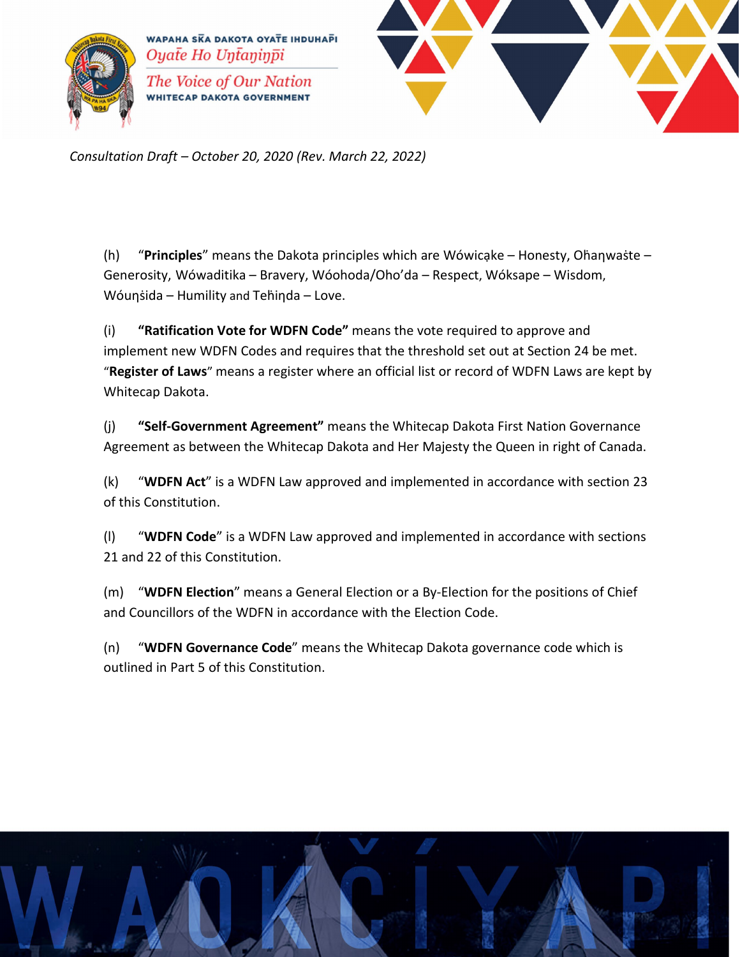



*Consultation Draft – October 20, 2020 (Rev. March 22, 2022)*

(h) **"Principles**" means the Dakota principles which are Wówicake – Honesty, Ohanwaste – Generosity, Wówaditika – Bravery, Wóohoda/Oho'da – Respect, Wóksape – Wisdom, Wóunsida – Humility and Tehinda – Love.

(i) **"Ratification Vote for WDFN Code"** means the vote required to approve and implement new WDFN Codes and requires that the threshold set out at Section 24 be met. "**Register of Laws**" means a register where an official list or record of WDFN Laws are kept by Whitecap Dakota.

(j) **"Self-Government Agreement"** means the Whitecap Dakota First Nation Governance Agreement as between the Whitecap Dakota and Her Majesty the Queen in right of Canada.

(k) "**WDFN Act**" is a WDFN Law approved and implemented in accordance with section 23 of this Constitution.

(l) "**WDFN Code**" is a WDFN Law approved and implemented in accordance with sections 21 and 22 of this Constitution.

(m) "**WDFN Election**" means a General Election or a By-Election for the positions of Chief and Councillors of the WDFN in accordance with the Election Code.

(n) "**WDFN Governance Code**" means the Whitecap Dakota governance code which is outlined in Part 5 of this Constitution.

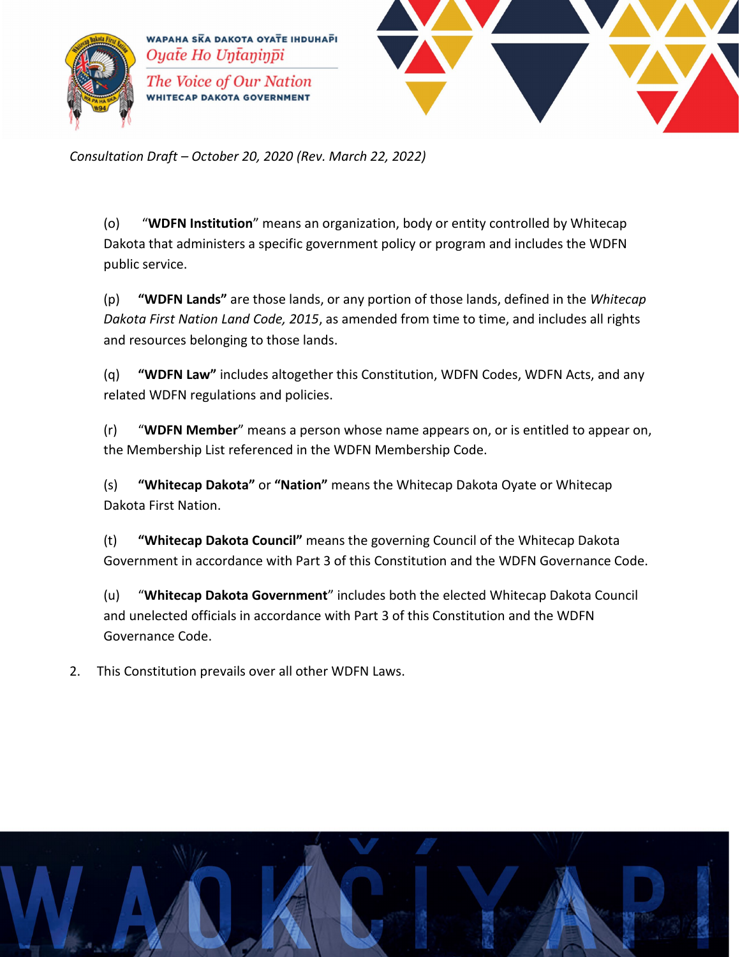



*Consultation Draft – October 20, 2020 (Rev. March 22, 2022)*

(o) "**WDFN Institution**" means an organization, body or entity controlled by Whitecap Dakota that administers a specific government policy or program and includes the WDFN public service.

(p) **"WDFN Lands"** are those lands, or any portion of those lands, defined in the *Whitecap Dakota First Nation Land Code, 2015*, as amended from time to time, and includes all rights and resources belonging to those lands.

(q) **"WDFN Law"** includes altogether this Constitution, WDFN Codes, WDFN Acts, and any related WDFN regulations and policies.

(r) "**WDFN Member**" means a person whose name appears on, or is entitled to appear on, the Membership List referenced in the WDFN Membership Code.

(s) **"Whitecap Dakota"** or **"Nation"** means the Whitecap Dakota Oyate or Whitecap Dakota First Nation.

(t) **"Whitecap Dakota Council"** means the governing Council of the Whitecap Dakota Government in accordance with Part 3 of this Constitution and the WDFN Governance Code.

(u) "**Whitecap Dakota Government**" includes both the elected Whitecap Dakota Council and unelected officials in accordance with Part 3 of this Constitution and the WDFN Governance Code.

2. This Constitution prevails over all other WDFN Laws.

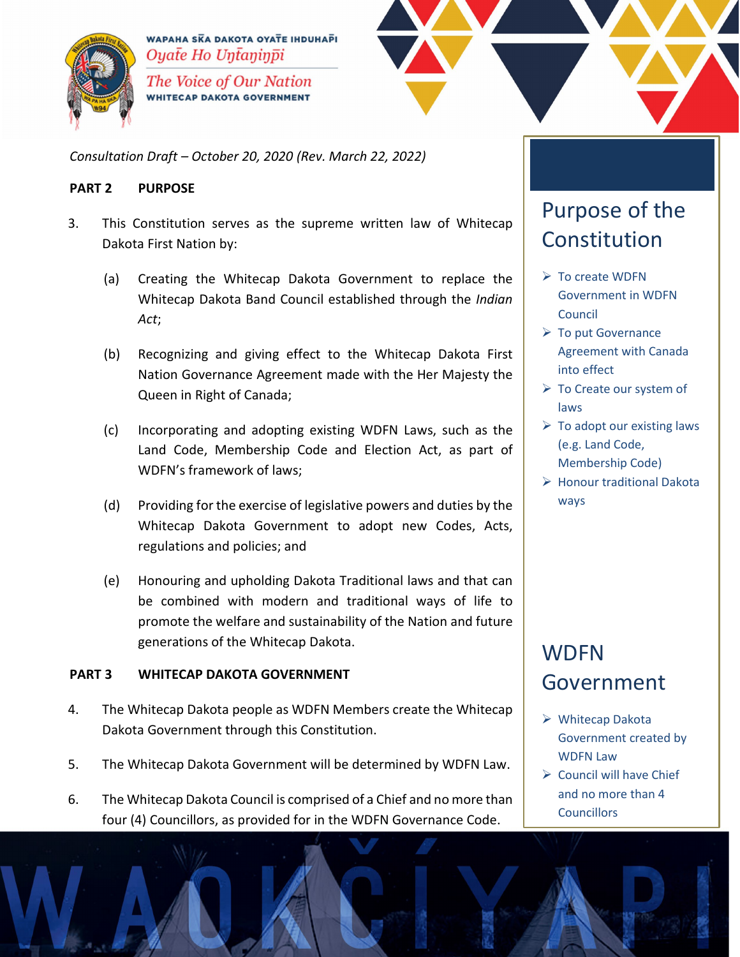



*Consultation Draft – October 20, 2020 (Rev. March 22, 2022)*

#### **PART 2 PURPOSE**

- 3. This Constitution serves as the supreme written law of Whitecap Dakota First Nation by:
	- (a) Creating the Whitecap Dakota Government to replace the Whitecap Dakota Band Council established through the *Indian Act*;
	- (b) Recognizing and giving effect to the Whitecap Dakota First Nation Governance Agreement made with the Her Majesty the Queen in Right of Canada;
	- (c) Incorporating and adopting existing WDFN Laws, such as the Land Code, Membership Code and Election Act, as part of WDFN's framework of laws;
	- (d) Providing for the exercise of legislative powers and duties by the Whitecap Dakota Government to adopt new Codes, Acts, regulations and policies; and
	- (e) Honouring and upholding Dakota Traditional laws and that can be combined with modern and traditional ways of life to promote the welfare and sustainability of the Nation and future generations of the Whitecap Dakota.

#### **PART 3 WHITECAP DAKOTA GOVERNMENT**

- 4. The Whitecap Dakota people as WDFN Members create the Whitecap Dakota Government through this Constitution.
- 5. The Whitecap Dakota Government will be determined by WDFN Law.
- 6. The Whitecap Dakota Council is comprised of a Chief and no more than four (4) Councillors, as provided for in the WDFN Governance Code.

## Purpose of the Constitution

- $\triangleright$  To create WDFN Government in WDFN Council
- $\triangleright$  To put Governance Agreement with Canada into effect
- $\triangleright$  To Create our system of laws
- $\triangleright$  To adopt our existing laws (e.g. Land Code, Membership Code)
- $\triangleright$  Honour traditional Dakota ways

## **WDFN** Government

- Whitecap Dakota Government created by WDFN Law
- $\triangleright$  Council will have Chief and no more than 4 **Councillors**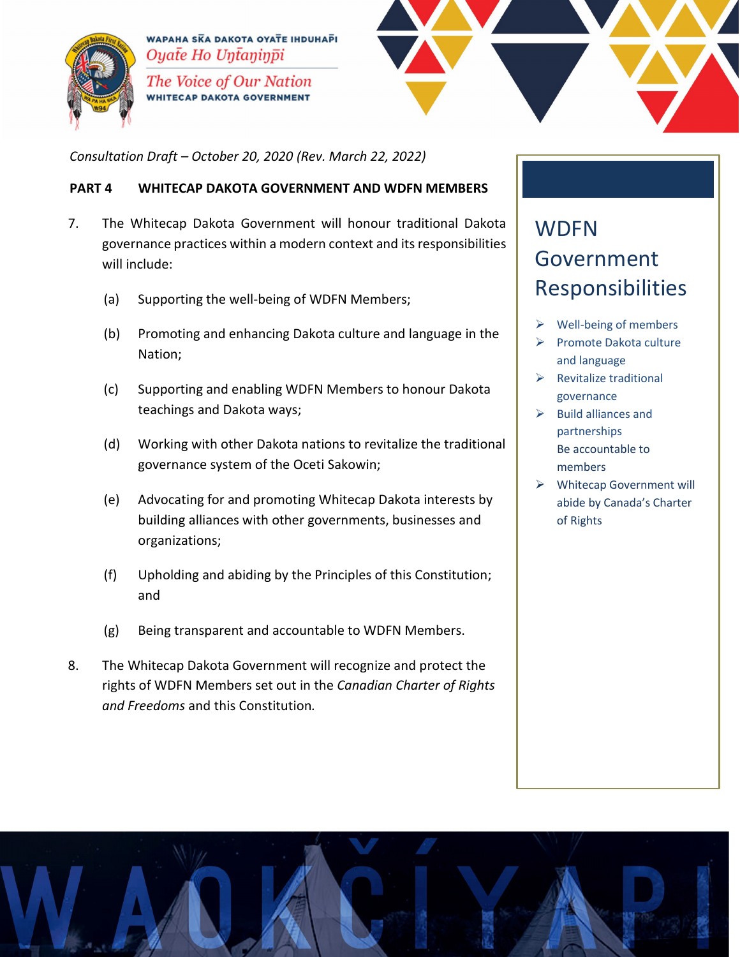



*Consultation Draft – October 20, 2020 (Rev. March 22, 2022)*

#### **PART 4 WHITECAP DAKOTA GOVERNMENT AND WDFN MEMBERS**

- 7. The Whitecap Dakota Government will honour traditional Dakota governance practices within a modern context and its responsibilities will include:
	- (a) Supporting the well-being of WDFN Members;
	- (b) Promoting and enhancing Dakota culture and language in the Nation;
	- (c) Supporting and enabling WDFN Members to honour Dakota teachings and Dakota ways;
	- (d) Working with other Dakota nations to revitalize the traditional governance system of the Oceti Sakowin;
	- (e) Advocating for and promoting Whitecap Dakota interests by building alliances with other governments, businesses and organizations;
	- (f) Upholding and abiding by the Principles of this Constitution; and
	- (g) Being transparent and accountable to WDFN Members.
- 8. The Whitecap Dakota Government will recognize and protect the rights of WDFN Members set out in the *Canadian Charter of Rights and Freedoms* and this Constitution*.*

## **WDFN** Government Responsibilities

- Well-being of members
- Promote Dakota culture and language
- $\triangleright$  Revitalize traditional governance
- $\triangleright$  Build alliances and partnerships Be accountable to members
- Whitecap Government will abide by Canada's Charter of Rights

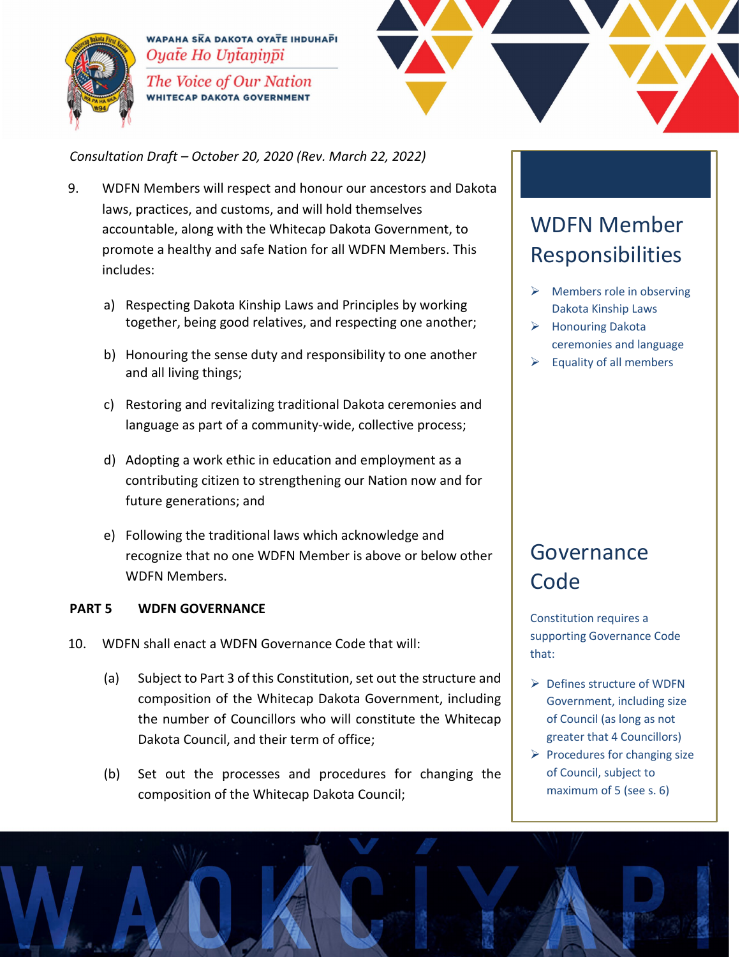



*Consultation Draft – October 20, 2020 (Rev. March 22, 2022)*

- 9. WDFN Members will respect and honour our ancestors and Dakota laws, practices, and customs, and will hold themselves accountable, along with the Whitecap Dakota Government, to promote a healthy and safe Nation for all WDFN Members. This includes:
	- a) Respecting Dakota Kinship Laws and Principles by working together, being good relatives, and respecting one another;
	- b) Honouring the sense duty and responsibility to one another and all living things;
	- c) Restoring and revitalizing traditional Dakota ceremonies and language as part of a community-wide, collective process;
	- d) Adopting a work ethic in education and employment as a contributing citizen to strengthening our Nation now and for future generations; and
	- e) Following the traditional laws which acknowledge and recognize that no one WDFN Member is above or below other WDFN Members.

#### **PART 5 WDFN GOVERNANCE**

- 10. WDFN shall enact a WDFN Governance Code that will:
	- (a) Subject to Part 3 of this Constitution, set out the structure and composition of the Whitecap Dakota Government, including the number of Councillors who will constitute the Whitecap Dakota Council, and their term of office;
	- (b) Set out the processes and procedures for changing the composition of the Whitecap Dakota Council;

## WDFN Member Responsibilities

- $\triangleright$  Members role in observing Dakota Kinship Laws
- **►** Honouring Dakota ceremonies and language
- $\triangleright$  Equality of all members

## Governance **Code**

Constitution requires a supporting Governance Code that:

- $\triangleright$  Defines structure of WDFN Government, including size of Council (as long as not greater that 4 Councillors)
- $\triangleright$  Procedures for changing size of Council, subject to maximum of 5 (see s. 6)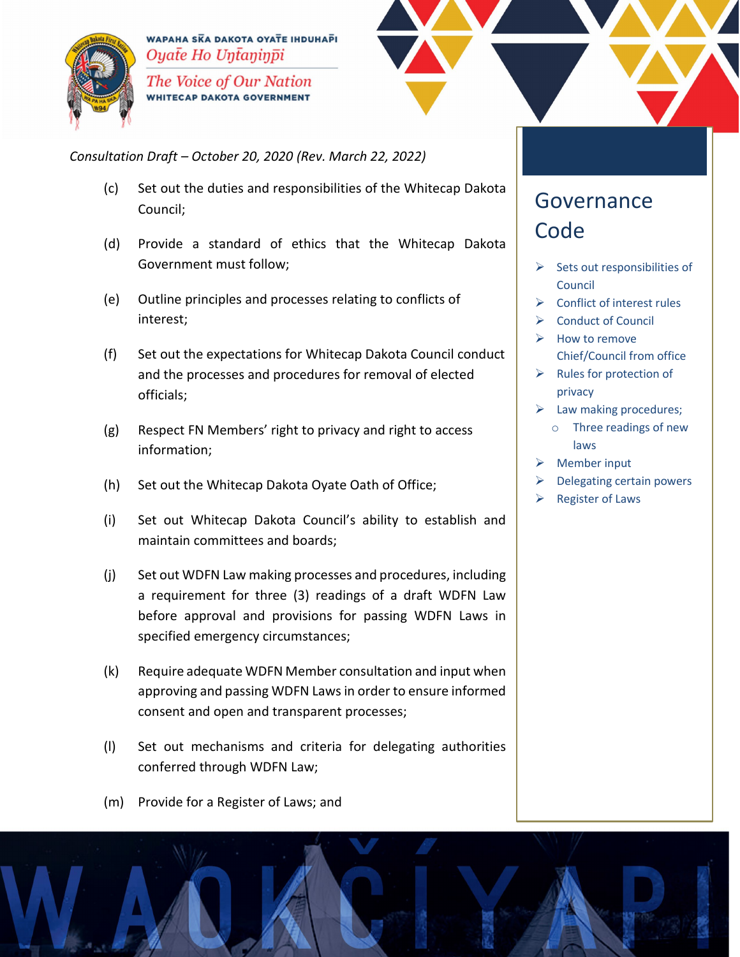



*Consultation Draft – October 20, 2020 (Rev. March 22, 2022)*

- (c) Set out the duties and responsibilities of the Whitecap Dakota Council;
- (d) Provide a standard of ethics that the Whitecap Dakota Government must follow;
- (e) Outline principles and processes relating to conflicts of interest;
- (f) Set out the expectations for Whitecap Dakota Council conduct and the processes and procedures for removal of elected officials;
- (g) Respect FN Members' right to privacy and right to access information;
- (h) Set out the Whitecap Dakota Oyate Oath of Office;
- (i) Set out Whitecap Dakota Council's ability to establish and maintain committees and boards;
- (j) Set out WDFN Law making processes and procedures, including a requirement for three (3) readings of a draft WDFN Law before approval and provisions for passing WDFN Laws in specified emergency circumstances;
- (k) Require adequate WDFN Member consultation and input when approving and passing WDFN Lawsin order to ensure informed consent and open and transparent processes;
- (l) Set out mechanisms and criteria for delegating authorities conferred through WDFN Law;
- (m) Provide for a Register of Laws; and

### Governance **Code**

- $\triangleright$  Sets out responsibilities of Council
- $\triangleright$  Conflict of interest rules
- $\triangleright$  Conduct of Council
- $\triangleright$  How to remove Chief/Council from office
- $\triangleright$  Rules for protection of privacy
- $\triangleright$  Law making procedures; o Three readings of new laws
- $\triangleright$  Member input
- Delegating certain powers
- $\triangleright$  Register of Laws

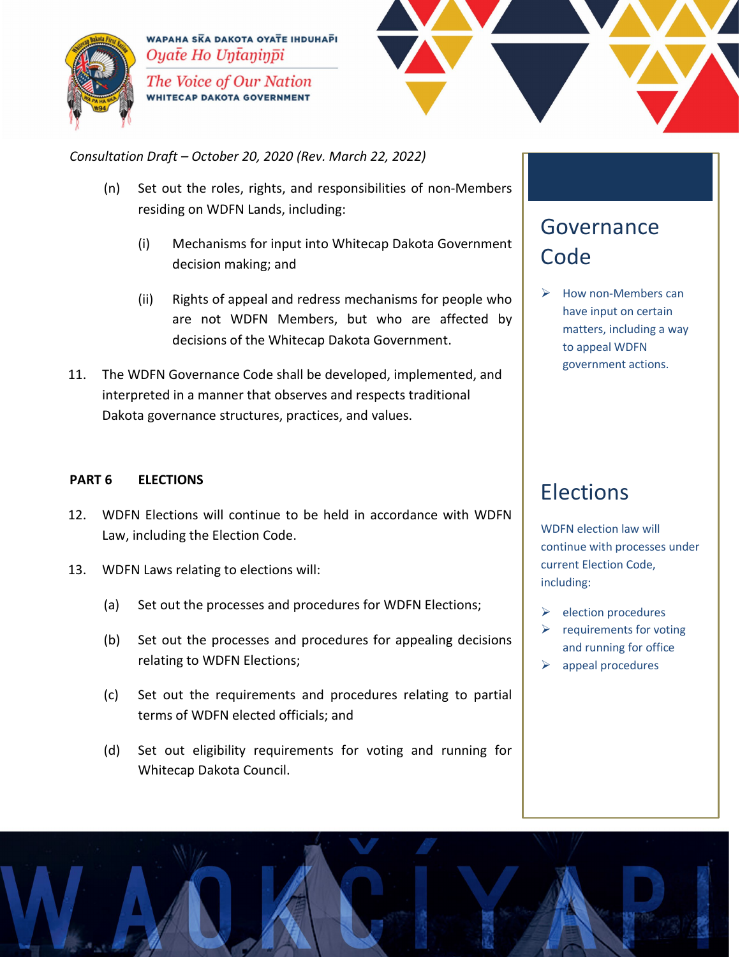



*Consultation Draft – October 20, 2020 (Rev. March 22, 2022)*

- (n) Set out the roles, rights, and responsibilities of non-Members residing on WDFN Lands, including:
	- (i) Mechanisms for input into Whitecap Dakota Government decision making; and
	- (ii) Rights of appeal and redress mechanisms for people who are not WDFN Members, but who are affected by decisions of the Whitecap Dakota Government.
- 11. The WDFN Governance Code shall be developed, implemented, and interpreted in a manner that observes and respects traditional Dakota governance structures, practices, and values.

#### **PART 6 ELECTIONS**

- 12. WDFN Elections will continue to be held in accordance with WDFN Law, including the Election Code.
- 13. WDFN Laws relating to elections will:
	- (a) Set out the processes and procedures for WDFN Elections;
	- (b) Set out the processes and procedures for appealing decisions relating to WDFN Elections;
	- (c) Set out the requirements and procedures relating to partial terms of WDFN elected officials; and
	- (d) Set out eligibility requirements for voting and running for Whitecap Dakota Council.

## Governance **Code**

 $\triangleright$  How non-Members can have input on certain matters, including a way to appeal WDFN government actions.

## Elections

WDFN election law will continue with processes under current Election Code, including:

- $\triangleright$  election procedures
- $\triangleright$  requirements for voting and running for office
- $\triangleright$  appeal procedures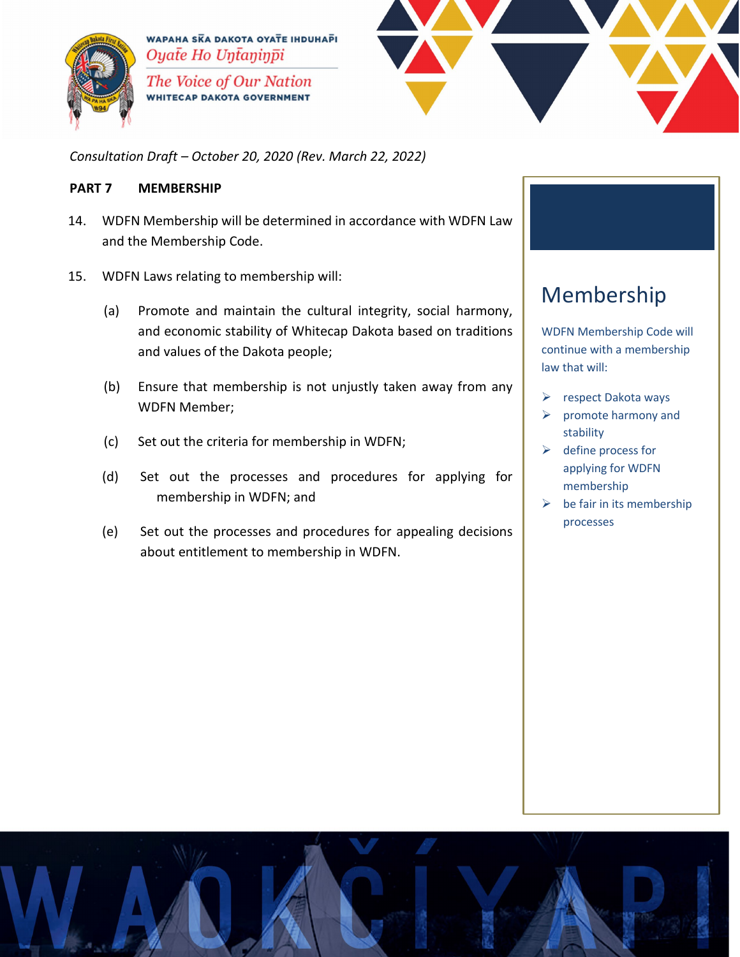



*Consultation Draft – October 20, 2020 (Rev. March 22, 2022)*

#### **PART 7 MEMBERSHIP**

- 14. WDFN Membership will be determined in accordance with WDFN Law and the Membership Code.
- 15. WDFN Laws relating to membership will:
	- (a) Promote and maintain the cultural integrity, social harmony, and economic stability of Whitecap Dakota based on traditions and values of the Dakota people;
	- (b) Ensure that membership is not unjustly taken away from any WDFN Member;
	- (c) Set out the criteria for membership in WDFN;
	- (d) Set out the processes and procedures for applying for membership in WDFN; and
	- (e) Set out the processes and procedures for appealing decisions about entitlement to membership in WDFN.

## Membership

WDFN Membership Code will continue with a membership law that will:

- $\triangleright$  respect Dakota ways
- $\triangleright$  promote harmony and stability
- $\triangleright$  define process for applying for WDFN membership
- $\triangleright$  be fair in its membership processes

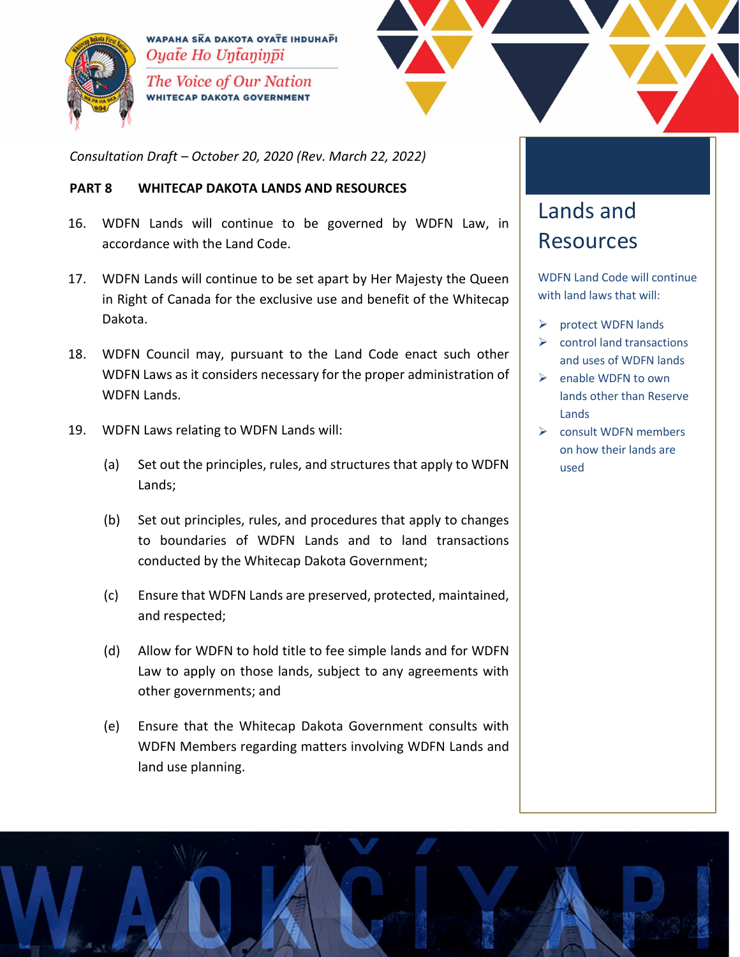



*Consultation Draft – October 20, 2020 (Rev. March 22, 2022)*

#### **PART 8 WHITECAP DAKOTA LANDS AND RESOURCES**

- 16. WDFN Lands will continue to be governed by WDFN Law, in accordance with the Land Code.
- 17. WDFN Lands will continue to be set apart by Her Majesty the Queen in Right of Canada for the exclusive use and benefit of the Whitecap Dakota.
- 18. WDFN Council may, pursuant to the Land Code enact such other WDFN Laws as it considers necessary for the proper administration of WDFN Lands.
- 19. WDFN Laws relating to WDFN Lands will:
	- (a) Set out the principles, rules, and structures that apply to WDFN Lands;
	- (b) Set out principles, rules, and procedures that apply to changes to boundaries of WDFN Lands and to land transactions conducted by the Whitecap Dakota Government;
	- (c) Ensure that WDFN Lands are preserved, protected, maintained, and respected;
	- (d) Allow for WDFN to hold title to fee simple lands and for WDFN Law to apply on those lands, subject to any agreements with other governments; and
	- (e) Ensure that the Whitecap Dakota Government consults with WDFN Members regarding matters involving WDFN Lands and land use planning.

## Lands and Resources

WDFN Land Code will continue with land laws that will:

- $\triangleright$  protect WDFN lands
- $\triangleright$  control land transactions and uses of WDFN lands
- $\triangleright$  enable WDFN to own lands other than Reserve Lands
- $\triangleright$  consult WDFN members on how their lands are used

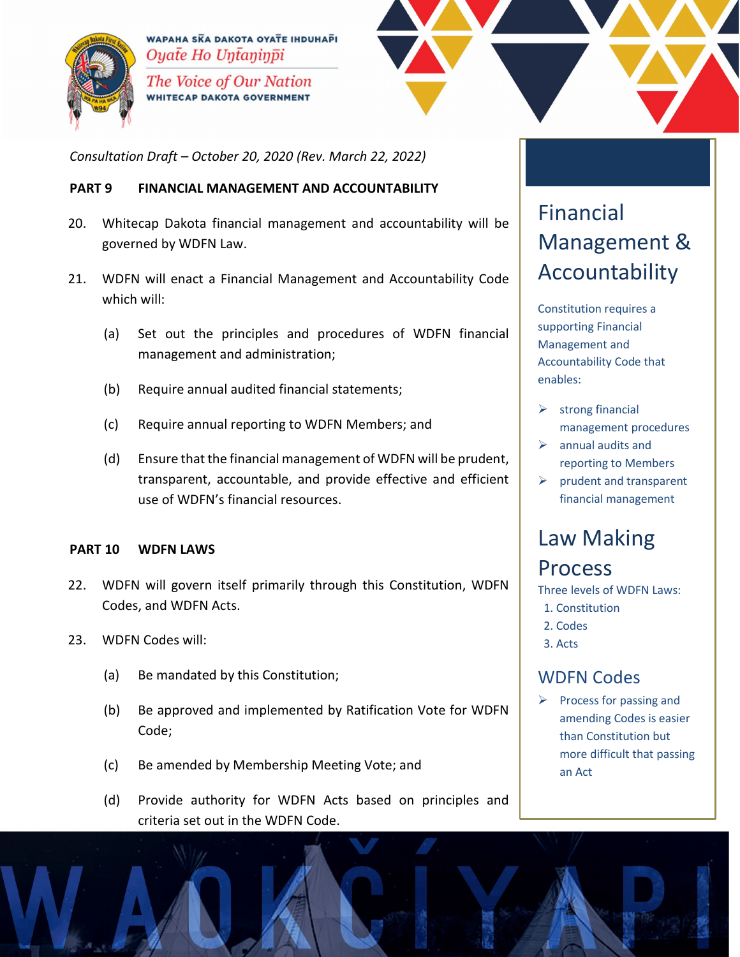



*Consultation Draft – October 20, 2020 (Rev. March 22, 2022)*

#### **PART 9 FINANCIAL MANAGEMENT AND ACCOUNTABILITY**

- 20. Whitecap Dakota financial management and accountability will be governed by WDFN Law.
- 21. WDFN will enact a Financial Management and Accountability Code which will:
	- (a) Set out the principles and procedures of WDFN financial management and administration;
	- (b) Require annual audited financial statements;
	- (c) Require annual reporting to WDFN Members; and
	- (d) Ensure that the financial management of WDFN will be prudent, transparent, accountable, and provide effective and efficient use of WDFN's financial resources.

#### **PART 10 WDFN LAWS**

- 22. WDFN will govern itself primarily through this Constitution, WDFN Codes, and WDFN Acts.
- 23. WDFN Codes will:
	- (a) Be mandated by this Constitution;
	- (b) Be approved and implemented by Ratification Vote for WDFN Code;
	- (c) Be amended by Membership Meeting Vote; and
	- (d) Provide authority for WDFN Acts based on principles and criteria set out in the WDFN Code.

## Financial Management & Accountability

Constitution requires a supporting Financial Management and Accountability Code that enables:

- $\triangleright$  strong financial management procedures
- $\triangleright$  annual audits and reporting to Members
- $\triangleright$  prudent and transparent financial management

## Law Making **Process**

Three levels of WDFN Laws:

- 1. Constitution
- 2. Codes
- 3. Acts

#### WDFN Codes

 $\triangleright$  Process for passing and amending Codes is easier than Constitution but more difficult that passing an Act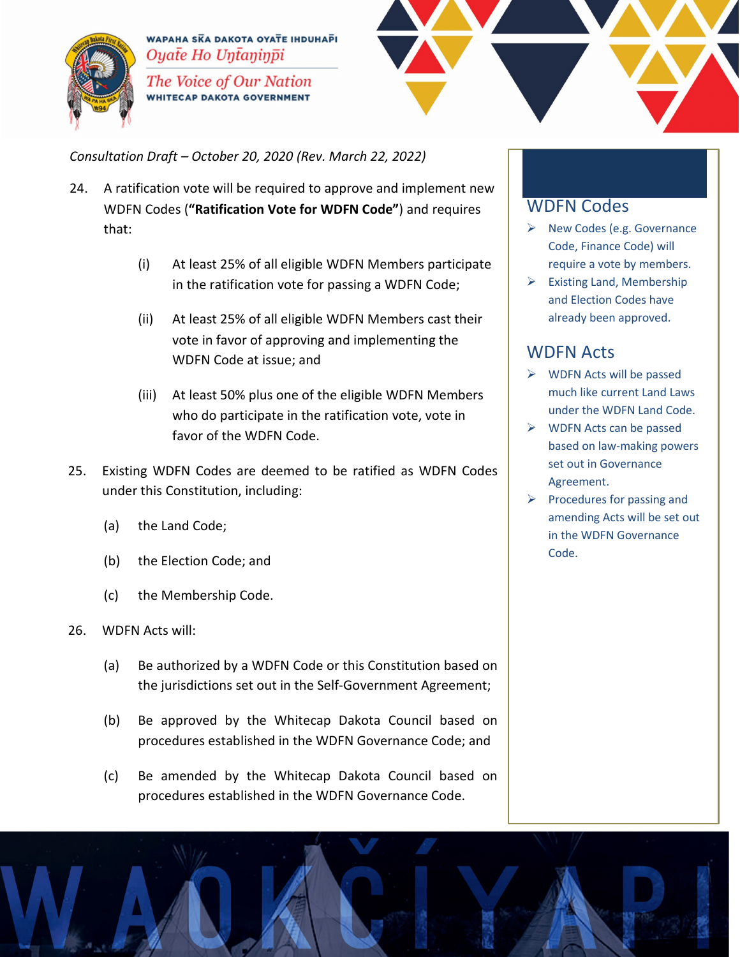



*Consultation Draft – October 20, 2020 (Rev. March 22, 2022)*

- 24. A ratification vote will be required to approve and implement new WDFN Codes (**"Ratification Vote for WDFN Code"**) and requires that:
	- (i) At least 25% of all eligible WDFN Members participate in the ratification vote for passing a WDFN Code;
	- (ii) At least 25% of all eligible WDFN Members cast their vote in favor of approving and implementing the WDFN Code at issue; and
	- (iii) At least 50% plus one of the eligible WDFN Members who do participate in the ratification vote, vote in favor of the WDFN Code.
- 25. Existing WDFN Codes are deemed to be ratified as WDFN Codes under this Constitution, including:
	- (a) the Land Code;
	- (b) the Election Code; and
	- (c) the Membership Code.
- 26. WDFN Acts will:
	- (a) Be authorized by a WDFN Code or this Constitution based on the jurisdictions set out in the Self-Government Agreement;
	- (b) Be approved by the Whitecap Dakota Council based on procedures established in the WDFN Governance Code; and
	- (c) Be amended by the Whitecap Dakota Council based on procedures established in the WDFN Governance Code.

#### WDFN Codes

- $\triangleright$  New Codes (e.g. Governance Code, Finance Code) will require a vote by members.
- $\triangleright$  Existing Land, Membership and Election Codes have already been approved.

#### WDFN Acts

- $\triangleright$  WDFN Acts will be passed much like current Land Laws under the WDFN Land Code.
- $\triangleright$  WDFN Acts can be passed based on law-making powers set out in Governance Agreement.
- $\triangleright$  Procedures for passing and amending Acts will be set out in the WDFN Governance Code.

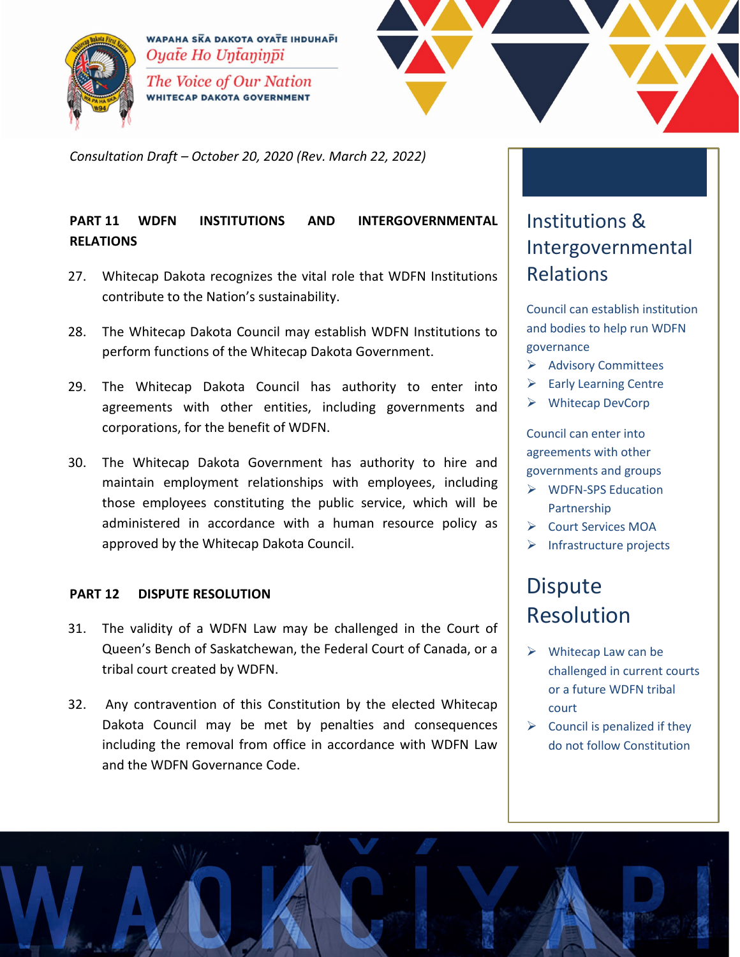



*Consultation Draft – October 20, 2020 (Rev. March 22, 2022)*

#### **PART 11 WDFN INSTITUTIONS AND INTERGOVERNMENTAL RELATIONS**

- 27. Whitecap Dakota recognizes the vital role that WDFN Institutions contribute to the Nation's sustainability.
- 28. The Whitecap Dakota Council may establish WDFN Institutions to perform functions of the Whitecap Dakota Government.
- 29. The Whitecap Dakota Council has authority to enter into agreements with other entities, including governments and corporations, for the benefit of WDFN.
- 30. The Whitecap Dakota Government has authority to hire and maintain employment relationships with employees, including those employees constituting the public service, which will be administered in accordance with a human resource policy as approved by the Whitecap Dakota Council.

#### **PART 12 DISPUTE RESOLUTION**

- 31. The validity of a WDFN Law may be challenged in the Court of Queen's Bench of Saskatchewan, the Federal Court of Canada, or a tribal court created by WDFN.
- 32. Any contravention of this Constitution by the elected Whitecap Dakota Council may be met by penalties and consequences including the removal from office in accordance with WDFN Law and the WDFN Governance Code.

## Institutions & Intergovernmental Relations

Council can establish institution and bodies to help run WDFN governance

- Advisory Committees
- $\triangleright$  Early Learning Centre
- Whitecap DevCorp

Council can enter into agreements with other governments and groups

- **▶ WDFN-SPS Education** Partnership
- ▶ Court Services MOA
- $\triangleright$  Infrastructure projects

## **Dispute** Resolution

- $\triangleright$  Whitecap Law can be challenged in current courts or a future WDFN tribal court
- $\triangleright$  Council is penalized if they do not follow Constitution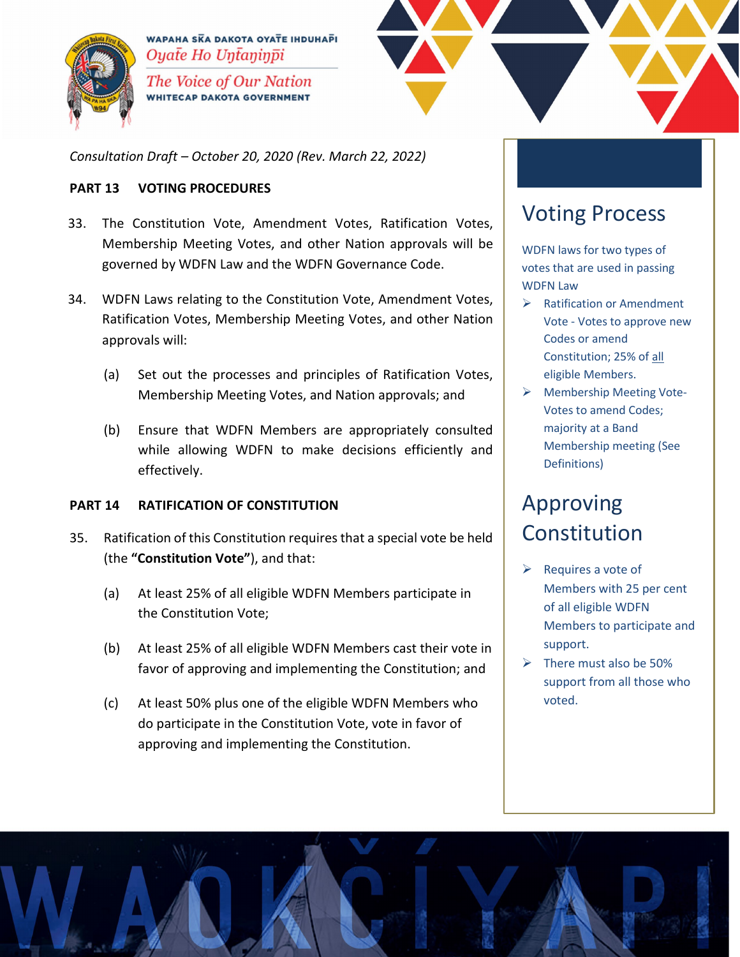



*Consultation Draft – October 20, 2020 (Rev. March 22, 2022)*

#### **PART 13 VOTING PROCEDURES**

- 33. The Constitution Vote, Amendment Votes, Ratification Votes, Membership Meeting Votes, and other Nation approvals will be governed by WDFN Law and the WDFN Governance Code.
- 34. WDFN Laws relating to the Constitution Vote, Amendment Votes, Ratification Votes, Membership Meeting Votes, and other Nation approvals will:
	- (a) Set out the processes and principles of Ratification Votes, Membership Meeting Votes, and Nation approvals; and
	- (b) Ensure that WDFN Members are appropriately consulted while allowing WDFN to make decisions efficiently and effectively.

#### **PART 14 RATIFICATION OF CONSTITUTION**

- 35. Ratification of this Constitution requiresthat a special vote be held (the **"Constitution Vote"**), and that:
	- (a) At least 25% of all eligible WDFN Members participate in the Constitution Vote;
	- (b) At least 25% of all eligible WDFN Members cast their vote in favor of approving and implementing the Constitution; and
	- (c) At least 50% plus one of the eligible WDFN Members who do participate in the Constitution Vote, vote in favor of approving and implementing the Constitution.

## Voting Process

WDFN laws for two types of votes that are used in passing WDFN Law

- $\triangleright$  Ratification or Amendment Vote - Votes to approve new Codes or amend Constitution; 25% of all eligible Members.
- Membership Meeting Vote-Votes to amend Codes; majority at a Band Membership meeting (See Definitions)

## Approving Constitution

- $\triangleright$  Requires a vote of Members with 25 per cent of all eligible WDFN Members to participate and support.
- $\triangleright$  There must also be 50% support from all those who voted.